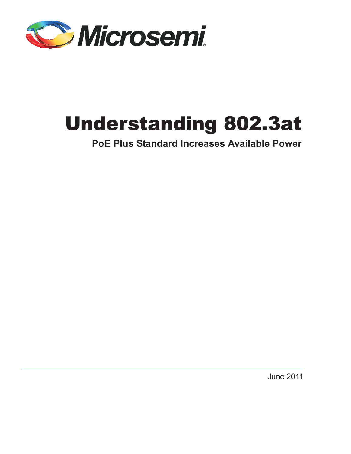

# Understanding 802.3at

**PoE Plus Standard Increases Available Power**

June 2011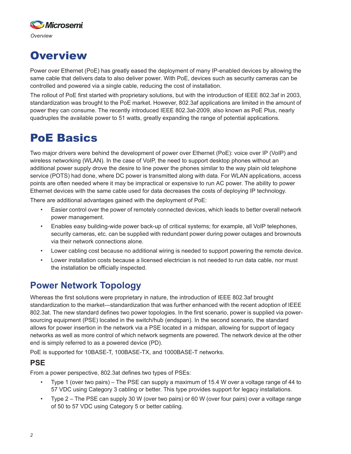

# **Overview**

Power over Ethernet (PoE) has greatly eased the deployment of many IP-enabled devices by allowing the same cable that delivers data to also deliver power. With PoE, devices such as security cameras can be controlled and powered via a single cable, reducing the cost of installation.

The rollout of PoE first started with proprietary solutions, but with the introduction of IEEE 802.3af in 2003, standardization was brought to the PoE market. However, 802.3af applications are limited in the amount of power they can consume. The recently introduced IEEE 802.3at-2009, also known as PoE Plus, nearly quadruples the available power to 51 watts, greatly expanding the range of potential applications.

## PoE Basics

Two major drivers were behind the development of power over Ethernet (PoE): voice over IP (VoIP) and wireless networking (WLAN). In the case of VoIP, the need to support desktop phones without an additional power supply drove the desire to line power the phones similar to the way plain old telephone service (POTS) had done, where DC power is transmitted along with data. For WLAN applications, access points are often needed where it may be impractical or expensive to run AC power. The ability to power Ethernet devices with the same cable used for data decreases the costs of deploying IP technology.

There are additional advantages gained with the deployment of PoE:

- Easier control over the power of remotely connected devices, which leads to better overall network power management.
- Enables easy building-wide power back-up of critical systems; for example, all VoIP telephones, security cameras, etc. can be supplied with redundant power during power outages and brownouts via their network connections alone.
- Lower cabling cost because no additional wiring is needed to support powering the remote device.
- Lower installation costs because a licensed electrician is not needed to run data cable, nor must the installation be officially inspected.

## **Power Network Topology**

Whereas the first solutions were proprietary in nature, the introduction of IEEE 802.3af brought standardization to the market—standardization that was further enhanced with the recent adoption of IEEE 802.3at. The new standard defines two power topologies. In the first scenario, power is supplied via powersourcing equipment (PSE) located in the switch/hub (endspan). In the second scenario, the standard allows for power insertion in the network via a PSE located in a midspan, allowing for support of legacy networks as well as more control of which network segments are powered. The network device at the other end is simply referred to as a powered device (PD).

PoE is supported for 10BASE-T, 100BASE-TX, and 1000BASE-T networks.

## **PSE**

From a power perspective, 802.3at defines two types of PSEs:

- Type 1 (over two pairs) The PSE can supply a maximum of 15.4 W over a voltage range of 44 to 57 VDC using Category 3 cabling or better. This type provides support for legacy installations.
- Type 2 The PSE can supply 30 W (over two pairs) or 60 W (over four pairs) over a voltage range of 50 to 57 VDC using Category 5 or better cabling.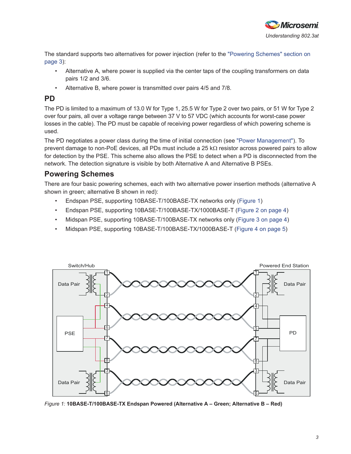

The standard supports two alternatives for power injection (refer to the "Powering Schemes" section on page 3):

- Alternative A, where power is supplied via the center taps of the coupling transformers on data pairs 1/2 and 3/6.
- Alternative B, where power is transmitted over pairs 4/5 and 7/8.

## **PD**

The PD is limited to a maximum of 13.0 W for Type 1, 25.5 W for Type 2 over two pairs, or 51 W for Type 2 over four pairs, all over a voltage range between 37 V to 57 VDC (which accounts for worst-case power losses in the cable). The PD must be capable of receiving power regardless of which powering scheme is used.

The PD negotiates a power class during the time of initial connection (see "Power Management"). To prevent damage to non-PoE devices, all PDs must include a 25  $k\Omega$  resistor across powered pairs to allow for detection by the PSE. This scheme also allows the PSE to detect when a PD is disconnected from the network. The detection signature is visible by both Alternative A and Alternative B PSEs.

## **Powering Schemes**

There are four basic powering schemes, each with two alternative power insertion methods (alternative A shown in green; alternative B shown in red):

- Endspan PSE, supporting 10BASE-T/100BASE-TX networks only (Figure 1)
- Endspan PSE, supporting 10BASE-T/100BASE-TX/1000BASE-T (Figure 2 on page 4)
- Midspan PSE, supporting 10BASE-T/100BASE-TX networks only (Figure 3 on page 4)
- Midspan PSE, supporting 10BASE-T/100BASE-TX/1000BASE-T (Figure 4 on page 5)



*Figure 1:* **10BASE-T/100BASE-TX Endspan Powered (Alternative A – Green; Alternative B – Red)**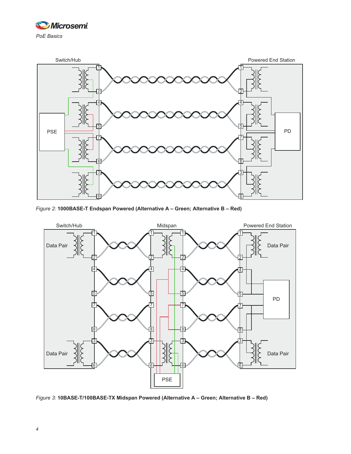



*Figure 2:* **1000BASE-T Endspan Powered (Alternative A – Green; Alternative B – Red)**



*Figure 3:* **10BASE-T/100BASE-TX Midspan Powered (Alternative A – Green; Alternative B – Red)**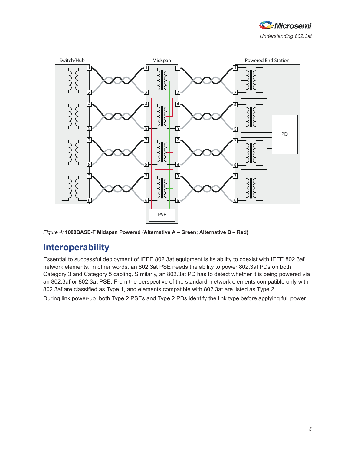



*Figure 4:* **1000BASE-T Midspan Powered (Alternative A – Green; Alternative B – Red)**

## **Interoperability**

Essential to successful deployment of IEEE 802.3at equipment is its ability to coexist with IEEE 802.3af network elements. In other words, an 802.3at PSE needs the ability to power 802.3af PDs on both Category 3 and Category 5 cabling. Similarly, an 802.3at PD has to detect whether it is being powered via an 802.3af or 802.3at PSE. From the perspective of the standard, network elements compatible only with 802.3af are classified as Type 1, and elements compatible with 802.3at are listed as Type 2.

During link power-up, both Type 2 PSEs and Type 2 PDs identify the link type before applying full power.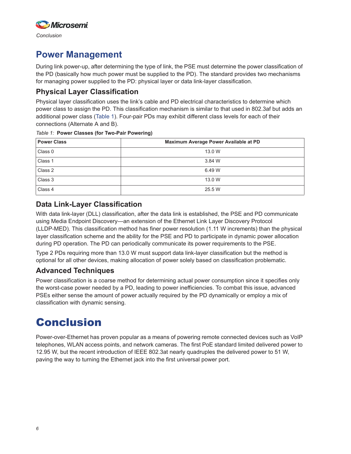

## **Power Management**

During link power-up, after determining the type of link, the PSE must determine the power classification of the PD (basically how much power must be supplied to the PD). The standard provides two mechanisms for managing power supplied to the PD: physical layer or data link-layer classification.

### **Physical Layer Classification**

Physical layer classification uses the link's cable and PD electrical characteristics to determine which power class to assign the PD. This classification mechanism is similar to that used in 802.3af but adds an additional power class (Table 1). Four-pair PDs may exhibit different class levels for each of their connections (Alternate A and B).

#### *Table 1:* **Power Classes (for Two-Pair Powering)**

| <b>Power Class</b> | Maximum Average Power Available at PD |
|--------------------|---------------------------------------|
| Class 0            | 13.0 W                                |
| Class 1            | 3.84 W                                |
| Class 2            | 6.49 W                                |
| Class 3            | 13.0 W                                |
| Class 4            | 25.5 W                                |

### **Data Link-Layer Classification**

With data link-layer (DLL) classification, after the data link is established, the PSE and PD communicate using Media Endpoint Discovery—an extension of the Ethernet Link Layer Discovery Protocol (LLDP-MED). This classification method has finer power resolution (1.11 W increments) than the physical layer classification scheme and the ability for the PSE and PD to participate in dynamic power allocation during PD operation. The PD can periodically communicate its power requirements to the PSE.

Type 2 PDs requiring more than 13.0 W must support data link-layer classification but the method is optional for all other devices, making allocation of power solely based on classification problematic.

#### **Advanced Techniques**

Power classification is a coarse method for determining actual power consumption since it specifies only the worst-case power needed by a PD, leading to power inefficiencies. To combat this issue, advanced PSEs either sense the amount of power actually required by the PD dynamically or employ a mix of classification with dynamic sensing.

# Conclusion

Power-over-Ethernet has proven popular as a means of powering remote connected devices such as VoIP telephones, WLAN access points, and network cameras. The first PoE standard limited delivered power to 12.95 W, but the recent introduction of IEEE 802.3at nearly quadruples the delivered power to 51 W, paving the way to turning the Ethernet jack into the first universal power port.